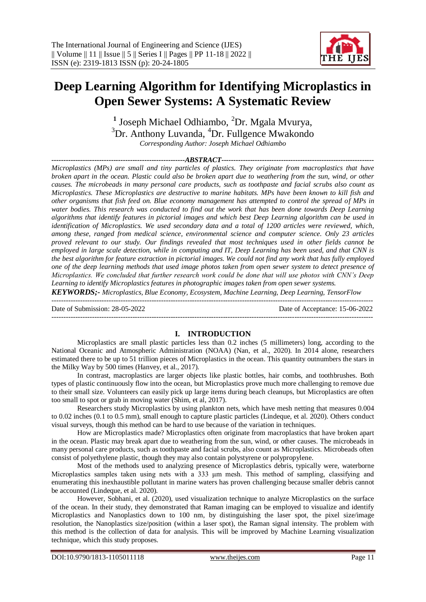# **Deep Learning Algorithm for Identifying Microplastics in Open Sewer Systems: A Systematic Review**

<sup>1</sup> Joseph Michael Odhiambo, <sup>2</sup>Dr. Mgala Mvurya, <sup>3</sup>Dr. Anthony Luvanda, <sup>4</sup>Dr. Fullgence Mwakondo *Corresponding Author: Joseph Michael Odhiambo*

*--------------------------------------------------------ABSTRACT---------------------------------------------------------------- Microplastics (MPs) are small and tiny particles of plastics. They originate from macroplastics that have broken apart in the ocean. Plastic could also be broken apart due to weathering from the sun, wind, or other causes. The microbeads in many personal care products, such as toothpaste and facial scrubs also count as Microplastics. These Microplastics are destructive to marine habitats. MPs have been known to kill fish and other organisms that fish feed on. Blue economy management has attempted to control the spread of MPs in water bodies. This research was conducted to find out the work that has been done towards Deep Learning algorithms that identify features in pictorial images and which best Deep Learning algorithm can be used in identification of Microplastics. We used secondary data and a total of 1200 articles were reviewed, which, among these, ranged from medical science, environmental science and computer science. Only 23 articles proved relevant to our study. Our findings revealed that most techniques used in other fields cannot be employed in large scale detection, while in computing and IT, Deep Learning has been used, and that CNN is the best algorithm for feature extraction in pictorial images. We could not find any work that has fully employed one of the deep learning methods that used image photos taken from open sewer system to detect presence of Microplastics. We concluded that further research work could be done that will use photos with CNN's Deep Learning to identify Microplastics features in photographic images taken from open sewer systems.*

*KEYWORDS;- Microplastics, Blue Economy, Ecosystem, Machine Learning, Deep Learning, TensorFlow* ---------------------------------------------------------------------------------------------------------------------------------------

Date of Submission: 28-05-2022 Date of Acceptance: 15-06-2022 ---------------------------------------------------------------------------------------------------------------------------------------

## **I. INTRODUCTION**

Microplastics are small plastic particles less than 0.2 inches (5 millimeters) long, according to the National Oceanic and Atmospheric Administration (NOAA) (Nan, et al., 2020). In 2014 alone, researchers estimated there to be up to 51 trillion pieces of Microplastics in the ocean. This quantity outnumbers the stars in the Milky Way by 500 times (Hanvey, et al., 2017).

In contrast, macroplastics are larger objects like plastic bottles, hair combs, and toothbrushes. Both types of plastic continuously flow into the ocean, but Microplastics prove much more challenging to remove due to their small size. Volunteers can easily pick up large items during beach cleanups, but Microplastics are often too small to spot or grab in moving water (Shim, et al, 2017).

Researchers study Microplastics by using plankton nets, which have mesh netting that measures 0.004 to 0.02 inches (0.1 to 0.5 mm), small enough to capture plastic particles (Lindeque, et al. 2020). Others conduct visual surveys, though this method can be hard to use because of the variation in techniques.

How are Microplastics made? Microplastics often originate from macroplastics that have broken apart in the ocean. Plastic may break apart due to weathering from the sun, wind, or other causes. The microbeads in many personal care products, such as toothpaste and facial scrubs, also count as Microplastics. Microbeads often consist of polyethylene plastic, though they may also contain polystyrene or polypropylene.

Most of the methods used to analyzing presence of Microplastics debris, typically were, waterborne Microplastics samples taken using nets with a 333  $\mu$ m mesh. This method of sampling, classifying and enumerating this inexhaustible pollutant in marine waters has proven challenging because smaller debris cannot be accounted (Lindeque, et al. 2020).

However, Sobhani, et al. (2020), used visualization technique to analyze Microplastics on the surface of the ocean. In their study, they demonstrated that Raman imaging can be employed to visualize and identify Microplastics and Nanoplastics down to 100 nm, by distinguishing the laser spot, the pixel size/image resolution, the Nanoplastics size/position (within a laser spot), the Raman signal intensity. The problem with this method is the collection of data for analysis. This will be improved by Machine Learning visualization technique, which this study proposes.

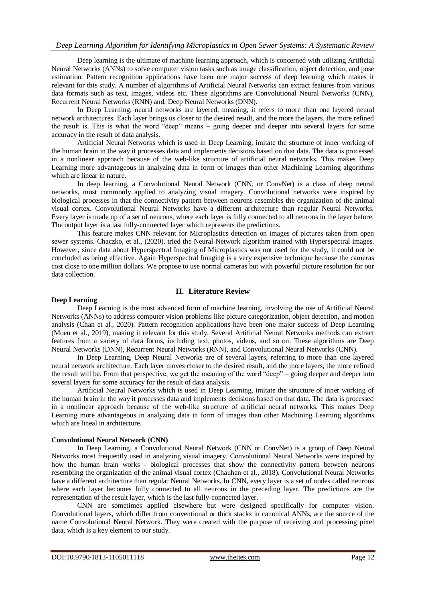# *Deep Learning Algorithm for Identifying Microplastics in Open Sewer Systems: A Systematic Review*

Deep learning is the ultimate of machine learning approach, which is concerned with utilizing Artificial Neural Networks (ANNs) to solve computer vision tasks such as image classification, object detection, and pose estimation. Pattern recognition applications have been one major success of deep learning which makes it relevant for this study. A number of algorithms of Artificial Neural Networks can extract features from various data formats such as text, images, videos etc. These algorithms are Convolutional Neural Networks (CNN), Recurrent Neural Networks (RNN) and, Deep Neural Networks (DNN).

In Deep Learning, neural networks are layered, meaning, it refers to more than one layered neural network architectures. Each layer brings us closer to the desired result, and the more the layers, the more refined the result is. This is what the word "deep" means – going deeper and deeper into several layers for some accuracy in the result of data analysis.

Artificial Neural Networks which is used in Deep Learning, imitate the structure of inner working of the human brain in the way it processes data and implements decisions based on that data. The data is processed in a nonlinear approach because of the web-like structure of artificial neural networks. This makes Deep Learning more advantageous in analyzing data in form of images than other Machining Learning algorithms which are linear in nature.

In deep learning, a Convolutional Neural Network (CNN, or ConvNet) is a class of deep neural networks, most commonly applied to analyzing visual imagery. Convolutional networks were inspired by biological processes in that the connectivity pattern between neurons resembles the organization of the animal visual cortex. Convolutional Neural Networks have a different architecture than regular Neural Networks. Every layer is made up of a set of neurons, where each layer is fully connected to all neurons in the layer before. The output layer is a last fully-connected layer which represents the predictions.

This feature makes CNN relevant for Microplastics detection on images of pictures taken from open sewer systems. Chaczko, et al., (2020), tried the Neural Network algorithm trained with Hyperspectral images. However, since data about Hyperspectral Imaging of Microplastics was not used for the study, it could not be concluded as being effective. Again Hyperspectral Imaging is a very expensive technique because the cameras cost close to one million dollars. We propose to use normal cameras but with powerful picture resolution for our data collection.

## **II. Literature Review**

#### **Deep Learning**

Deep Learning is the most advanced form of machine learning, involving the use of Artificial Neural Networks (ANNs) to address computer vision problems like picture categorization, object detection, and motion analysis (Chan et al., 2020). Pattern recognition applications have been one major success of Deep Learning (Moen et al., 2019), making it relevant for this study. Several Artificial Neural Networks methods can extract features from a variety of data forms, including text, photos, videos, and so on. These algorithms are Deep Neural Networks (DNN), Recurrent Neural Networks (RNN), and Convolutional Neural Networks (CNN).

In Deep Learning, Deep Neural Networks are of several layers, referring to more than one layered neural network architecture. Each layer moves closer to the desired result, and the more layers, the more refined the result will be. From that perspective, we get the meaning of the word "deep" – going deeper and deeper into several layers for some accuracy for the result of data analysis.

Artificial Neural Networks which is used in Deep Learning, imitate the structure of inner working of the human brain in the way it processes data and implements decisions based on that data. The data is processed in a nonlinear approach because of the web-like structure of artificial neural networks. This makes Deep Learning more advantageous in analyzing data in form of images than other Machining Learning algorithms which are lineal in architecture.

## **Convolutional Neural Network (CNN)**

In Deep Learning, a Convolutional Neural Network (CNN or ConvNet) is a group of Deep Neural Networks most frequently used in analyzing visual imagery. Convolutional Neural Networks were inspired by how the human brain works - biological processes that show the connectivity pattern between neurons resembling the organization of the animal visual cortex (Chauhan et al., 2018). Convolutional Neural Networks have a different architecture than regular Neural Networks. In CNN, every layer is a set of nodes called neurons where each layer becomes fully connected to all neurons in the preceding layer. The predictions are the representation of the result layer, which is the last fully-connected layer.

CNN are sometimes applied elsewhere but were designed specifically for computer vision. Convolutional layers, which differ from conventional or thick stacks in canonical ANNs, are the source of the name Convolutional Neural Network. They were created with the purpose of receiving and processing pixel data, which is a key element to our study.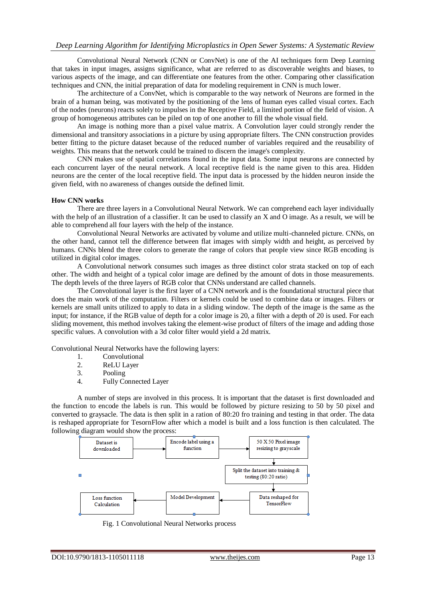Convolutional Neural Network (CNN or ConvNet) is one of the AI techniques form Deep Learning that takes in input images, assigns significance, what are referred to as discoverable weights and biases, to various aspects of the image, and can differentiate one features from the other. Comparing other classification techniques and CNN, the initial preparation of data for modeling requirement in CNN is much lower.

The architecture of a ConvNet, which is comparable to the way network of Neurons are formed in the brain of a human being, was motivated by the positioning of the lens of human eyes called visual cortex. Each of the nodes (neurons) reacts solely to impulses in the Receptive Field, a limited portion of the field of vision. A group of homogeneous attributes can be piled on top of one another to fill the whole visual field.

An image is nothing more than a pixel value matrix. A Convolution layer could strongly render the dimensional and transitory associations in a picture by using appropriate filters. The CNN construction provides better fitting to the picture dataset because of the reduced number of variables required and the reusability of weights. This means that the network could be trained to discern the image's complexity.

CNN makes use of spatial correlations found in the input data. Some input neurons are connected by each concurrent layer of the neural network. A local receptive field is the name given to this area. Hidden neurons are the center of the local receptive field. The input data is processed by the hidden neuron inside the given field, with no awareness of changes outside the defined limit.

## **How CNN works**

There are three layers in a Convolutional Neural Network. We can comprehend each layer individually with the help of an illustration of a classifier. It can be used to classify an X and O image. As a result, we will be able to comprehend all four layers with the help of the instance.

Convolutional Neural Networks are activated by volume and utilize multi-channeled picture. CNNs, on the other hand, cannot tell the difference between flat images with simply width and height, as perceived by humans. CNNs blend the three colors to generate the range of colors that people view since RGB encoding is utilized in digital color images.

A Convolutional network consumes such images as three distinct color strata stacked on top of each other. The width and height of a typical color image are defined by the amount of dots in those measurements. The depth levels of the three layers of RGB color that CNNs understand are called channels.

The Convolutional layer is the first layer of a CNN network and is the foundational structural piece that does the main work of the computation. Filters or kernels could be used to combine data or images. Filters or kernels are small units utilized to apply to data in a sliding window. The depth of the image is the same as the input; for instance, if the RGB value of depth for a color image is 20, a filter with a depth of 20 is used. For each sliding movement, this method involves taking the element-wise product of filters of the image and adding those specific values. A convolution with a 3d color filter would yield a 2d matrix.

Convolutional Neural Networks have the following layers:

- 1. Convolutional<br>2. ReLU Laver
- ReLU Layer
- 3. Pooling
- 4. Fully Connected Layer

A number of steps are involved in this process. It is important that the dataset is first downloaded and the function to encode the labels is run. This would be followed by picture resizing to 50 by 50 pixel and converted to graysacle. The data is then split in a ration of 80:20 fro training and testing in that order. The data is reshaped appropriate for TesornFlow after which a model is built and a loss function is then calculated. The following diagram would show the process:



Fig. 1 Convolutional Neural Networks process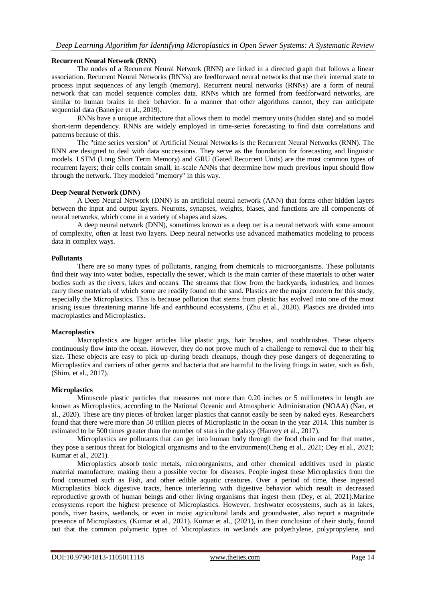## **Recurrent Neural Network (RNN)**

The nodes of a Recurrent Neural Network (RNN) are linked in a directed graph that follows a linear association. Recurrent Neural Networks (RNNs) are feedforward neural networks that use their internal state to process input sequences of any length (memory). Recurrent neural networks (RNNs) are a form of neural network that can model sequence complex data. RNNs which are formed from feedforward networks, are similar to human brains in their behavior. In a manner that other algorithms cannot, they can anticipate sequential data (Baneriee et al., 2019).

RNNs have a unique architecture that allows them to model memory units (hidden state) and so model short-term dependency. RNNs are widely employed in time-series forecasting to find data correlations and patterns because of this.

The "time series version" of Artificial Neural Networks is the Recurrent Neural Networks (RNN). The RNN are designed to deal with data successions. They serve as the foundation for forecasting and linguistic models. LSTM (Long Short Term Memory) and GRU (Gated Recurrent Units) are the most common types of recurrent layers; their cells contain small, in-scale ANNs that determine how much previous input should flow through the network. They modeled "memory" in this way.

## **Deep Neural Network (DNN)**

A Deep Neural Network (DNN) is an artificial neural network (ANN) that forms other hidden layers between the input and output layers. Neurons, synapses, weights, biases, and functions are all components of neural networks, which come in a variety of shapes and sizes.

A deep neural network (DNN), sometimes known as a deep net is a neural network with some amount of complexity, often at least two layers. Deep neural networks use advanced mathematics modeling to process data in complex ways.

## **Pollutants**

There are so many types of pollutants, ranging from chemicals to microorganisms. These pollutants find their way into water bodies, especially the sewer, which is the main carrier of these materials to other water bodies such as the rivers, lakes and oceans. The streams that flow from the backyards, industries, and homes carry these materials of which some are readily found on the sand. Plastics are the major concern for this study, especially the Microplastics. This is because pollution that stems from plastic has evolved into one of the most arising issues threatening marine life and earthbound ecosystems, (Zhu et al., 2020). Plastics are divided into macroplastics and Microplastics.

## **Macroplastics**

Macroplastics are bigger articles like plastic jugs, hair brushes, and toothbrushes. These objects continuously flow into the ocean. However, they do not prove much of a challenge to removal due to their big size. These objects are easy to pick up during beach cleanups, though they pose dangers of degenerating to Microplastics and carriers of other germs and bacteria that are harmful to the living things in water, such as fish, (Shim, et al., 2017).

# **Microplastics**

Minuscule plastic particles that measures not more than 0.20 inches or 5 millimeters in length are known as Microplastics, according to the National Oceanic and Atmospheric Administration (NOAA) (Nan, et al., 2020). These are tiny pieces of broken larger plastics that cannot easily be seen by naked eyes. Researchers found that there were more than 50 trillion pieces of Microplastic in the ocean in the year 2014. This number is estimated to be 500 times greater than the number of stars in the galaxy (Hanvey et al., 2017).

Microplastics are pollutants that can get into human body through the food chain and for that matter, they pose a serious threat for biological organisms and to the environment(Cheng et al., 2021; Dey et al., 2021; Kumar et al., 2021).

Microplastics absorb toxic metals, microorganisms, and other chemical additives used in plastic material manufacture, making them a possible vector for diseases. People ingest these Microplastics from the food consumed such as Fish, and other edible aquatic creatures. Over a period of time, these ingested Microplastics block digestive tracts, hence interfering with digestive behavior which result in decreased reproductive growth of human beings and other living organisms that ingest them (Dey, et al, 2021).Marine ecosystems report the highest presence of Microplastics. However, freshwater ecosystems, such as in lakes, ponds, river basins, wetlands, or even in moist agricultural lands and groundwater, also report a magnitude presence of Microplastics, (Kumar et al., 2021). Kumar et al., (2021), in their conclusion of their study, found out that the common polymeric types of Microplastics in wetlands are polyethylene, polypropylene, and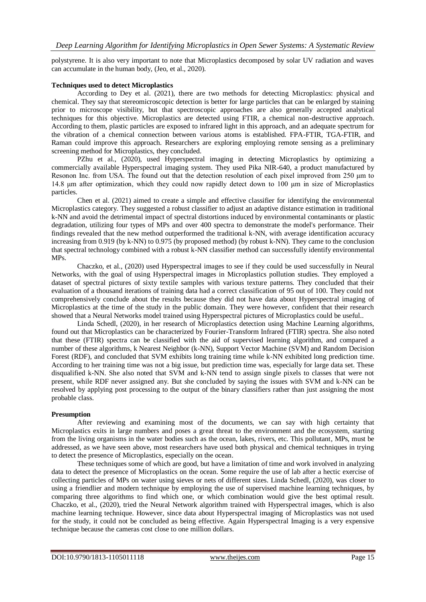polystyrene. It is also very important to note that Microplastics decomposed by solar UV radiation and waves can accumulate in the human body, (Jeo, et al., 2020).

## **Techniques used to detect Microplastics**

According to Dey et al. (2021), there are two methods for detecting Microplastics: physical and chemical. They say that stereomicroscopic detection is better for large particles that can be enlarged by staining prior to microscope visibility, but that spectroscopic approaches are also generally accepted analytical techniques for this objective. Microplastics are detected using FTIR, a chemical non-destructive approach. According to them, plastic particles are exposed to infrared light in this approach, and an adequate spectrum for the vibration of a chemical connection between various atoms is established. FPA-FTIR, TGA-FTIR, and Raman could improve this approach. Researchers are exploring employing remote sensing as a preliminary screening method for Microplastics, they concluded.

PZhu et al., (2020), used Hyperspectral imaging in detecting Microplastics by optimizing a commercially available Hyperspectral imaging system. They used Pika NIR-640, a product manufactured by Resonon Inc. from USA. The found out that the detection resolution of each pixel improved from 250 μm to 14.8 μm after optimization, which they could now rapidly detect down to 100 μm in size of Microplastics particles.

Chen et al. (2021) aimed to create a simple and effective classifier for identifying the environmental Microplastics category. They suggested a robust classifier to adjust an adaptive distance estimation in traditional k-NN and avoid the detrimental impact of spectral distortions induced by environmental contaminants or plastic degradation, utilizing four types of MPs and over 400 spectra to demonstrate the model's performance. Their findings revealed that the new method outperformed the traditional k-NN, with average identification accuracy increasing from 0.919 (by k-NN) to 0.975 (by proposed method) (by robust k-NN). They came to the conclusion that spectral technology combined with a robust k-NN classifier method can successfully identify environmental MPs.

Chaczko, et al., (2020) used Hyperspectral images to see if they could be used successfully in Neural Networks, with the goal of using Hyperspectral images in Microplastics pollution studies. They employed a dataset of spectral pictures of sixty textile samples with various texture patterns. They concluded that their evaluation of a thousand iterations of training data had a correct classification of 95 out of 100. They could not comprehensively conclude about the results because they did not have data about Hyperspectral imaging of Microplastics at the time of the study in the public domain. They were however, confident that their research showed that a Neural Networks model trained using Hyperspectral pictures of Microplastics could be useful..

Linda Schedl, (2020), in her research of Microplastics detection using Machine Learning algorithms, found out that Microplastics can be characterized by Fourier-Transform Infrared (FTIR) spectra. She also noted that these (FTIR) spectra can be classified with the aid of supervised learning algorithm, and compared a number of these algorithms, k Nearest Neighbor (k-NN), Support Vector Machine (SVM) and Random Decision Forest (RDF), and concluded that SVM exhibits long training time while k-NN exhibited long prediction time. According to her training time was not a big issue, but prediction time was, especially for large data set. These disqualified k-NN. She also noted that SVM and k-NN tend to assign single pixels to classes that were not present, while RDF never assigned any. But she concluded by saying the issues with SVM and k-NN can be resolved by applying post processing to the output of the binary classifiers rather than just assigning the most probable class.

# **Presumption**

After reviewing and examining most of the documents, we can say with high certainty that Microplastics exits in large numbers and poses a great threat to the environment and the ecosystem, starting from the living organisms in the water bodies such as the ocean, lakes, rivers, etc. This pollutant, MPs, must be addressed, as we have seen above, most researchers have used both physical and chemical techniques in trying to detect the presence of Microplastics, especially on the ocean.

These techniques some of which are good, but have a limitation of time and work involved in analyzing data to detect the presence of Microplastics on the ocean. Some require the use of lab after a hectic exercise of collecting particles of MPs on water using sieves or nets of different sizes. Linda Schedl, (2020), was closer to using a friendlier and modern technique by employing the use of supervised machine learning techniques, by comparing three algorithms to find which one, or which combination would give the best optimal result. Chaczko, et al., (2020), tried the Neural Network algorithm trained with Hyperspectral images, which is also machine learning technique. However, since data about Hyperspectral imaging of Microplastics was not used for the study, it could not be concluded as being effective. Again Hyperspectral Imaging is a very expensive technique because the cameras cost close to one million dollars.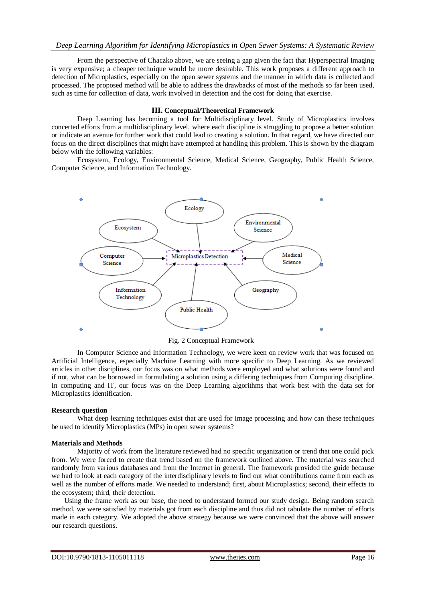From the perspective of Chaczko above, we are seeing a gap given the fact that Hyperspectral Imaging is very expensive; a cheaper technique would be more desirable. This work proposes a different approach to detection of Microplastics, especially on the open sewer systems and the manner in which data is collected and processed. The proposed method will be able to address the drawbacks of most of the methods so far been used, such as time for collection of data, work involved in detection and the cost for doing that exercise.

#### **III. Conceptual/Theoretical Framework**

Deep Learning has becoming a tool for Multidisciplinary level. Study of Microplastics involves concerted efforts from a multidisciplinary level, where each discipline is struggling to propose a better solution or indicate an avenue for further work that could lead to creating a solution. In that regard, we have directed our focus on the direct disciplines that might have attempted at handling this problem. This is shown by the diagram below with the following variables:

Ecosystem, Ecology, Environmental Science, Medical Science, Geography, Public Health Science, Computer Science, and Information Technology.



Fig. 2 Conceptual Framework

In Computer Science and Information Technology, we were keen on review work that was focused on Artificial Intelligence, especially Machine Learning with more specific to Deep Learning. As we reviewed articles in other disciplines, our focus was on what methods were employed and what solutions were found and if not, what can be borrowed in formulating a solution using a differing techniques from Computing discipline. In computing and IT, our focus was on the Deep Learning algorithms that work best with the data set for Microplastics identification.

#### **Research question**

What deep learning techniques exist that are used for image processing and how can these techniques be used to identify Microplastics (MPs) in open sewer systems?

#### **Materials and Methods**

Majority of work from the literature reviewed had no specific organization or trend that one could pick from. We were forced to create that trend based on the framework outlined above. The material was searched randomly from various databases and from the Internet in general. The framework provided the guide because we had to look at each category of the interdisciplinary levels to find out what contributions came from each as well as the number of efforts made. We needed to understand; first, about Microplastics; second, their effects to the ecosystem; third, their detection.

Using the frame work as our base, the need to understand formed our study design. Being random search method, we were satisfied by materials got from each discipline and thus did not tabulate the number of efforts made in each category. We adopted the above strategy because we were convinced that the above will answer our research questions.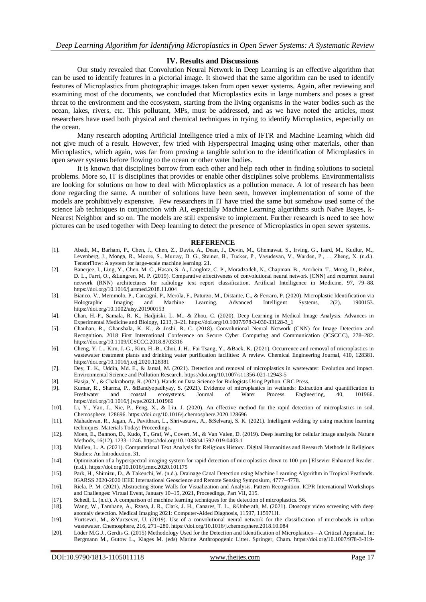## **IV. Results and Discussions**

Our study revealed that Convolution Neural Network in Deep Learning is an effective algorithm that can be used to identify features in a pictorial image. It showed that the same algorithm can be used to identify features of Microplastics from photographic images taken from open sewer systems. Again, after reviewing and examining most of the documents, we concluded that Microplastics exits in large numbers and poses a great threat to the environment and the ecosystem, starting from the living organisms in the water bodies such as the ocean, lakes, rivers, etc. This pollutant, MPs, must be addressed, and as we have noted the articles, most researchers have used both physical and chemical techniques in trying to identify Microplastics, especially on the ocean.

Many research adopting Artificial Intelligence tried a mix of IFTR and Machine Learning which did not give much of a result. However, few tried with Hyperspectral Imaging using other materials, other than Microplastics, which again, was far from proving a tangible solution to the identification of Microplastics in open sewer systems before flowing to the ocean or other water bodies.

It is known that disciplines borrow from each other and help each other in finding solutions to societal problems. More so, IT is disciplines that provides or enable other disciplines solve problems. Environmentalists are looking for solutions on how to deal with Microplastics as a pollution menace. A lot of research has been done regarding the same. A number of solutions have been seen, however implementation of some of the models are prohibitively expensive. Few researchers in IT have tried the same but somehow used some of the science lab techniques in conjunction with AI, especially Machine Learning algorithms such Naïve Bayes, k-Nearest Neighbor and so on. The models are still expensive to implement. Further research is need to see how pictures can be used together with Deep learning to detect the presence of Microplastics in open sewer systems.

#### **REFERENCE**

- [1]. Abadi, M., Barham, P., Chen, J., Chen, Z., Davis, A., Dean, J., Devin, M., Ghemawat, S., Irving, G., Isard, M., Kudlur, M., Levenberg, J., Monga, R., Moore, S., Murray, D. G., Steiner, B., Tucker, P., Vasudevan, V., Warden, P., … Zheng, X. (n.d.). TensorFlow: A system for large-scale machine learning. 21.
- [2]. Banerjee, I., Ling, Y., Chen, M. C., Hasan, S. A., Langlotz, C. P., Moradzadeh, N., Chapman, B., Amrhein, T., Mong, D., Rubin, D. L., Farri, O., &Lungren, M. P. (2019). Comparative effectiveness of convolutional neural network (CNN) and recurrent neural network (RNN) architectures for radiology text report classification. Artificial Intelligence in Medicine, 97, 79–88. https://doi.org/10.1016/j.artmed.2018.11.004
- [3]. Bianco, V., Memmolo, P., Carcagnì, P., Merola, F., Paturzo, M., Distante, C., & Ferraro, P. (2020). Microplastic Identification via Holographic Imaging and Machine Learning. Advanced Intelligent Systems, 2(2), 1900153. https://doi.org/10.1002/aisy.201900153
- [4]. Chan, H.-P., Samala, R. K., Hadjiiski, L. M., & Zhou, C. (2020). Deep Learning in Medical Image Analysis. Advances in Experimental Medicine and Biology, 1213, 3–21. https://doi.org/10.1007/978-3-030-33128-3\_1
- [5]. Chauhan, R., Ghanshala, K. K., & Joshi, R. C. (2018). Convolutional Neural Network (CNN) for Image Detection and Recognition. 2018 First International Conference on Secure Cyber Computing and Communication (ICSCCC), 278–282. https://doi.org/10.1109/ICSCCC.2018.8703316
- [6]. Cheng, Y. L., Kim, J.-G., Kim, H.-B., Choi, J. H., Fai Tsang, Y., &Baek, K. (2021). Occurrence and removal of microplastics in wastewater treatment plants and drinking water purification facilities: A review. Chemical Engineering Journal, 410, 128381. https://doi.org/10.1016/j.cej.2020.128381
- [7]. Dey, T. K., Uddin, Md. E., & Jamal, M. (2021). Detection and removal of microplastics in wastewater: Evolution and impact. Environmental Science and Pollution Research. https://doi.org/10.1007/s11356-021-12943-5
- [8]. Hasija, Y., & Chakraborty, R. (2021). Hands on Data Science for Biologists Using Python. CRC Press. [9]. Kumar, R., Sharma, P., &Bandyopadhyay, S. (2021). Evidence of microplastics in wetlands: Extra
- [9]. Kumar, R., Sharma, P., &Bandyopadhyay, S. (2021). Evidence of microplastics in wetlands: Extraction and quantification in Freshwater and coastal ecosystems. Journal of Water Process Engineering, 40, 101966. https://doi.org/10.1016/j.jwpe.2021.101966
- [10]. Li, Y., Yao, J., Nie, P., Feng, X., & Liu, J. (2020). An effective method for the rapid detection of microplastics in soil. Chemosphere, 128696. https://doi.org/10.1016/j.chemosphere.2020.128696
- [11]. Mahadevan, R., Jagan, A., Pavithran, L., Shrivastava, A., &Selvaraj, S. K. (2021). Intelligent welding by using machine learning techniques. Materials Today: Proceedings.
- [12]. Moen, E., Bannon, D., Kudo, T., Graf, W., Covert, M., & Van Valen, D. (2019). Deep learning for cellular image analysis. Natur e Methods, 16(12), 1233–1246. https://doi.org/10.1038/s41592-019-0403-1
- [13]. Mullen, L. A. (2021). Computational Text Analysis for Religious History. Digital Humanities and Research Methods in Religious Studies: An Introduction, 31.
- [14]. Optimization of a hyperspectral imaging system for rapid detection of microplastics down to 100 µm | Elsevier Enhanced Reader. (n.d.). https://doi.org/10.1016/j.mex.2020.101175
- [15]. Park, H., Shimizu, D., & Takeuchi, W. (n.d.). Drainage Canal Detection using Machine Learning Algorithm in Tropical Peatlands. IGARSS 2020-2020 IEEE International Geoscience and Remote Sensing Symposium, 4777–4778.
- [16]. Riela, P. M. (2021). Abstracting Stone Walls for Visualization and Analysis. Pattern Recognition. ICPR International Workshops and Challenges: Virtual Event, January 10–15, 2021, Proceedings, Part VII, 215.
- [17]. Schedl, L. (n.d.). A comparison of machine learning techniques for the detection of microplastics. 56.
- [18]. Wang, W., Tamhane, A., Rzasa, J. R., Clark, J. H., Canares, T. L., &Unberath, M. (2021). Otoscopy video screening with deep anomaly detection. Medical Imaging 2021: Computer-Aided Diagnosis, 11597, 115971H.
- [19]. Yurtsever, M., &Yurtsever, U. (2019). Use of a convolutional neural network for the classification of microbeads in urban wastewater. Chemosphere, 216, 271–280. https://doi.org/10.1016/j.chemosphere.2018.10.084
- [20]. Löder M.G.J., Gerdts G. (2015) Methodology Used for the Detection and Identification of Microplastics—A Critical Appraisal. In: Bergmann M., Gutow L., Klages M. (eds) Marine Anthropogenic Litter. Springer, Cham. https://doi.org/10.1007/978-3-319-